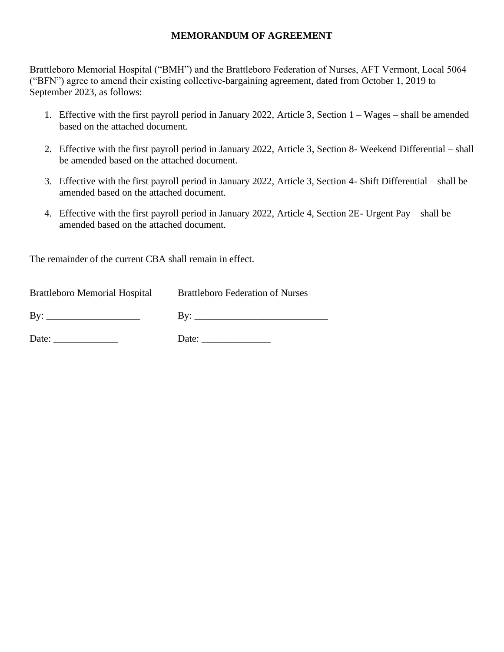### **MEMORANDUM OF AGREEMENT**

Brattleboro Memorial Hospital ("BMH") and the Brattleboro Federation of Nurses, AFT Vermont, Local 5064 ("BFN") agree to amend their existing collective-bargaining agreement, dated from October 1, 2019 to September 2023, as follows:

- 1. Effective with the first payroll period in January 2022, Article 3, Section 1 Wages shall be amended based on the attached document.
- 2. Effective with the first payroll period in January 2022, Article 3, Section 8- Weekend Differential shall be amended based on the attached document.
- 3. Effective with the first payroll period in January 2022, Article 3, Section 4- Shift Differential shall be amended based on the attached document.
- 4. Effective with the first payroll period in January 2022, Article 4, Section 2E- Urgent Pay shall be amended based on the attached document.

The remainder of the current CBA shall remain in effect.

| <b>Brattleboro Memorial Hospital</b> | <b>Brattleboro Federation of Nurses</b> |
|--------------------------------------|-----------------------------------------|
| By:                                  | Bv:                                     |
| Date:                                | Date:                                   |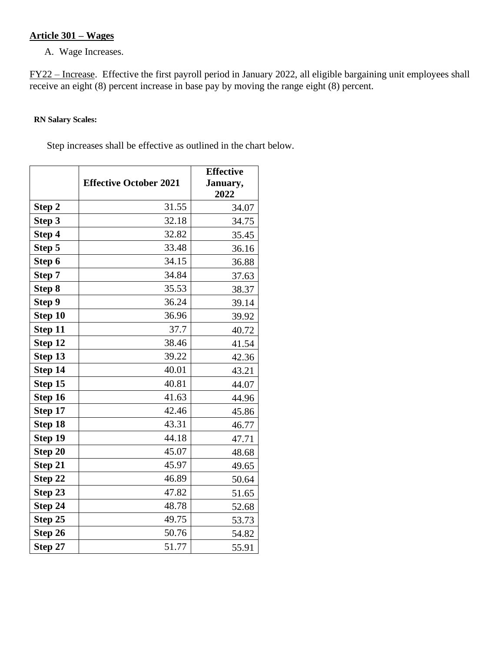# **Article 301 – Wages**

A. Wage Increases.

FY22 – Increase. Effective the first payroll period in January 2022, all eligible bargaining unit employees shall receive an eight (8) percent increase in base pay by moving the range eight (8) percent.

### **RN Salary Scales:**

Step increases shall be effective as outlined in the chart below.

|         | <b>Effective October 2021</b> | <b>Effective</b><br>January, |
|---------|-------------------------------|------------------------------|
|         |                               | 2022                         |
| Step 2  | 31.55                         | 34.07                        |
| Step 3  | 32.18                         | 34.75                        |
| Step 4  | 32.82                         | 35.45                        |
| Step 5  | 33.48                         | 36.16                        |
| Step 6  | 34.15                         | 36.88                        |
| Step 7  | 34.84                         | 37.63                        |
| Step 8  | 35.53                         | 38.37                        |
| Step 9  | 36.24                         | 39.14                        |
| Step 10 | 36.96                         | 39.92                        |
| Step 11 | 37.7                          | 40.72                        |
| Step 12 | 38.46                         | 41.54                        |
| Step 13 | 39.22                         | 42.36                        |
| Step 14 | 40.01                         | 43.21                        |
| Step 15 | 40.81                         | 44.07                        |
| Step 16 | 41.63                         | 44.96                        |
| Step 17 | 42.46                         | 45.86                        |
| Step 18 | 43.31                         | 46.77                        |
| Step 19 | 44.18                         | 47.71                        |
| Step 20 | 45.07                         | 48.68                        |
| Step 21 | 45.97                         | 49.65                        |
| Step 22 | 46.89                         | 50.64                        |
| Step 23 | 47.82                         | 51.65                        |
| Step 24 | 48.78                         | 52.68                        |
| Step 25 | 49.75                         | 53.73                        |
| Step 26 | 50.76                         | 54.82                        |
| Step 27 | 51.77                         | 55.91                        |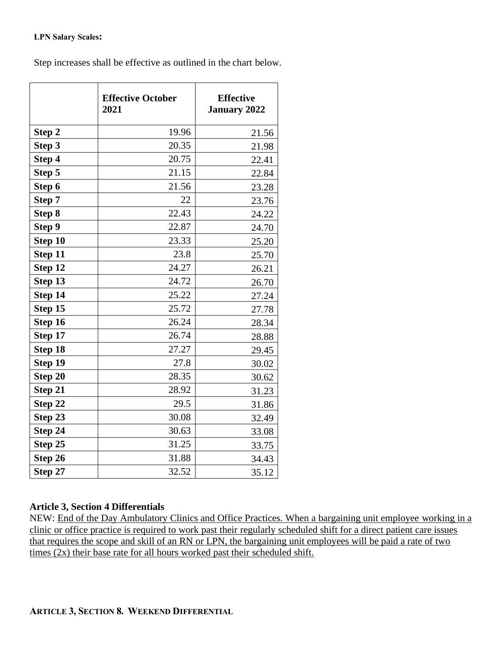#### **LPN Salary Scales:**

Step increases shall be effective as outlined in the chart below.

|         | <b>Effective October</b><br>2021 | <b>Effective</b><br><b>January 2022</b> |
|---------|----------------------------------|-----------------------------------------|
| Step 2  | 19.96                            | 21.56                                   |
| Step 3  | 20.35                            | 21.98                                   |
| Step 4  | 20.75                            | 22.41                                   |
| Step 5  | 21.15                            | 22.84                                   |
| Step 6  | 21.56                            | 23.28                                   |
| Step 7  | 22                               | 23.76                                   |
| Step 8  | 22.43                            | 24.22                                   |
| Step 9  | 22.87                            | 24.70                                   |
| Step 10 | 23.33                            | 25.20                                   |
| Step 11 | 23.8                             | 25.70                                   |
| Step 12 | 24.27                            | 26.21                                   |
| Step 13 | 24.72                            | 26.70                                   |
| Step 14 | 25.22                            | 27.24                                   |
| Step 15 | 25.72                            | 27.78                                   |
| Step 16 | 26.24                            | 28.34                                   |
| Step 17 | 26.74                            | 28.88                                   |
| Step 18 | 27.27                            | 29.45                                   |
| Step 19 | 27.8                             | 30.02                                   |
| Step 20 | 28.35                            | 30.62                                   |
| Step 21 | 28.92                            | 31.23                                   |
| Step 22 | 29.5                             | 31.86                                   |
| Step 23 | 30.08                            | 32.49                                   |
| Step 24 | 30.63                            | 33.08                                   |
| Step 25 | 31.25                            | 33.75                                   |
| Step 26 | 31.88                            | 34.43                                   |
| Step 27 | 32.52                            | 35.12                                   |

# **Article 3, Section 4 Differentials**

NEW: End of the Day Ambulatory Clinics and Office Practices. When a bargaining unit employee working in a clinic or office practice is required to work past their regularly scheduled shift for a direct patient care issues that requires the scope and skill of an RN or LPN, the bargaining unit employees will be paid a rate of two times (2x) their base rate for all hours worked past their scheduled shift.